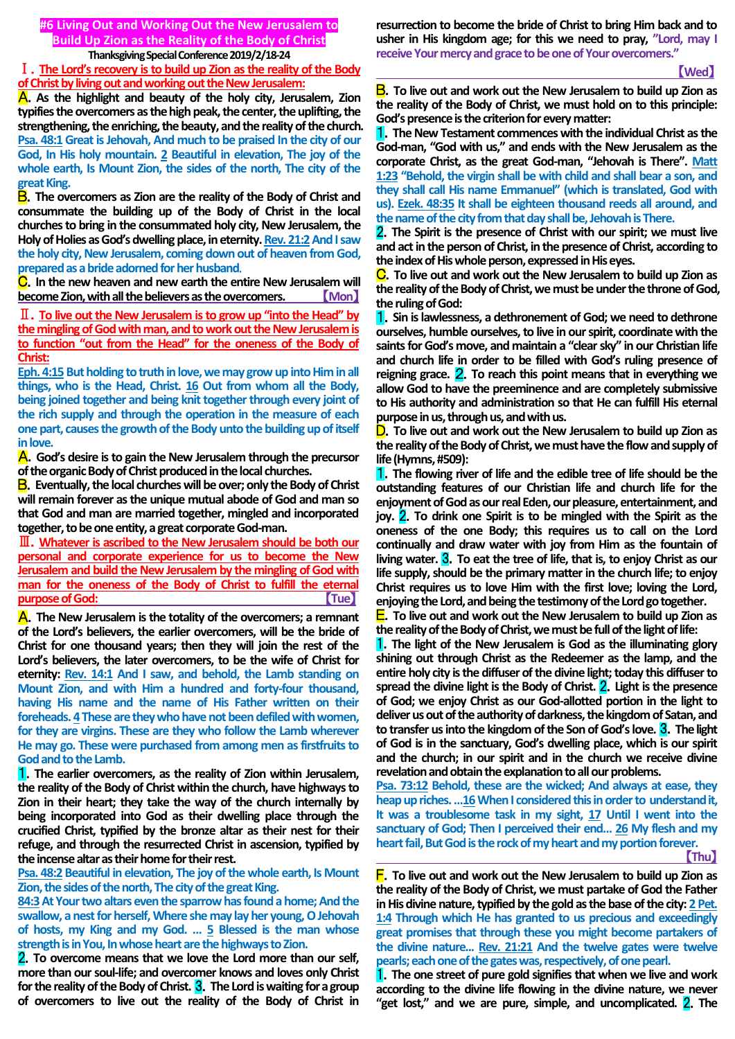# **#6 Living Out and Working Out the New Jerusalem to Build Up Zion as the Reality of the Body of Christ**

#### **Thanksgiving Special Conference 2019/2/18-24**

Ⅰ.**The Lord's recovery is to build up Zion as the reality of the Body of Christ by living out and working out the New Jerusalem:**

A.**As the highlight and beauty of the holy city, Jerusalem, Zion typifies the overcomers as the high peak, the center, the uplifting, the strengthening, the enriching, the beauty, and the reality of the church.**  Psa. 48:1 Great is Jehovah, And much to be praised In the city of our **God, In His holy mountain. 2 Beautiful in elevation, The joy of the whole earth, Is Mount Zion, the sides of the north, The city of the great King.**

B.**The overcomers as Zion are the reality of the Body of Christ and consummate the building up of the Body of Christ in the local churches to bring in the consummated holy city, New Jerusalem, the**  Holy of Holies as God's dwelling place, in eternity. **Rev. 21:2 And I saw the holy city, New Jerusalem, coming down out of heaven from God, prepared as a bride adorned for her husband**.

C.**In the new heaven and new earth the entire New Jerusalem will become Zion, with all the believers as the overcomers.** 【**Mon**】

Ⅱ.**To live out the New Jerusalem is to grow up "into the Head" by the mingling of God with man, and to work out the New Jerusalem is to function "out from the Head" for the oneness of the Body of Christ:**

Eph. 4:15 But holding to truth in love, we may grow up into Him in all **things, who is the Head, Christ. 16 Out from whom all the Body, being joined together and being knit together through every joint of the rich supply and through the operation in the measure of each one part, causes the growth of the Body unto the building up of itself in love.**

A.**God's desire is to gain the New Jerusalem through the precursor of the organic Body of Christ produced in the local churches.**

B.**Eventually, the local churches will be over; only the Body of Christ will remain forever as the unique mutual abode of God and man so that God and man are married together, mingled and incorporated together, to be one entity, a great corporate God-man.**

Ⅲ.**Whatever is ascribed to the New Jerusalem should be both our personal and corporate experience for us to become the New Jerusalem and build the New Jerusalem by the mingling of God with man for the oneness of the Body of Christ to fulfill the eternal purpose of God: Tue** 

A.**The New Jerusalem is the totality of the overcomers; a remnant of the Lord's believers, the earlier overcomers, will be the bride of Christ for one thousand years; then they will join the rest of the Lord's believers, the later overcomers, to be the wife of Christ for eternity: Rev. 14:1 And I saw, and behold, the Lamb standing on Mount Zion, and with Him a hundred and forty-four thousand, having His name and the name of His Father written on their foreheads. 4These are they who have not been defiled with women, for they are virgins. These are they who follow the Lamb wherever He may go. These were purchased from among men as firstfruits to God and to the Lamb.**

1.**The earlier overcomers, as the reality of Zion within Jerusalem, the reality of the Body of Christ within the church, have highways to Zion in their heart; they take the way of the church internally by being incorporated into God as their dwelling place through the crucified Christ, typified by the bronze altar as their nest for their refuge, and through the resurrected Christ in ascension, typified by the incense altar as their home for their rest.**

**Psa. 48:2 Beautiful in elevation, The joy of the whole earth, Is Mount Zion, the sides of the north, The city of the great King.**

**84:3At Your two altars even the sparrow has found a home; And the swallow, a nest for herself, Where she may lay her young, O Jehovah of hosts, my King and my God. … 5 Blessed is the man whose strength is in You, In whose heart are the highways to Zion.**

2.**To overcome means that we love the Lord more than our self, more than our soul-life; and overcomer knows and loves only Christ for the reality of the Body of Christ.** 3.**The Lord is waiting for a group of overcomers to live out the reality of the Body of Christ in** 

**resurrection to become the bride of Christ to bring Him back and to usher in His kingdom age; for this we need to pray, "Lord, may I**  receive Your mercy and grace to be one of Your overcomers."

# 【**Wed**】

B.**To live out and work out the New Jerusalem to build up Zion as the reality of the Body of Christ, we must hold on to this principle: God's presence is the criterion for every matter:**

1.**The New Testament commences with the individual Christ as the God-man, "God with us," and ends with the New Jerusalem as the corporate Christ, as the great God-man, "Jehovah is There". Matt 1:23 "Behold, the virgin shall be with child and shall bear a son, and they shall call His name Emmanuel" (which is translated, God with us). Ezek. 48:35 It shall be eighteen thousand reeds all around, and the name of the city from that day shall be, Jehovah is There.**

2.**The Spirit is the presence of Christ with our spirit; we must live and act in the person of Christ, in the presence of Christ, according to the index of His whole person, expressed in His eyes.**

C.**To live out and work out the New Jerusalem to build up Zion as the reality of the Body of Christ, we must be under the throne of God, the ruling of God:**

1.**Sin is lawlessness, a dethronement of God; we need to dethrone ourselves, humble ourselves, to live in our spirit, coordinate with the saints for God's move, and maintain a "clear sky" in our Christian life and church life in order to be filled with God's ruling presence of reigning grace.** 2.**To reach this point means that in everything we allow God to have the preeminence and are completely submissive to His authority and administration so that He can fulfill His eternal purpose in us, through us, and with us.**

D.**To live out and work out the New Jerusalem to build up Zion as the reality of the Body of Christ, we must have the flow and supply of life (Hymns, #509):**

1.**The flowing river of life and the edible tree of life should be the outstanding features of our Christian life and church life for the enjoyment of God as our real Eden, our pleasure, entertainment, and joy.** 2.**To drink one Spirit is to be mingled with the Spirit as the oneness of the one Body; this requires us to call on the Lord continually and draw water with joy from Him as the fountain of living water.** 3.**To eat the tree of life, that is, to enjoy Christ as our life supply, should be the primary matter in the church life; to enjoy Christ requires us to love Him with the first love; loving the Lord, enjoying the Lord, and being the testimony of the Lord go together.**

E.**To live out and work out the New Jerusalem to build up Zion as the reality of the Body of Christ, we must be full of the light of life:**

1.**The light of the New Jerusalem is God as the illuminating glory shining out through Christ as the Redeemer as the lamp, and the entire holy city is the diffuser of the divine light; today this diffuser to spread the divine light is the Body of Christ.** 2.**Light is the presence of God; we enjoy Christ as our God-allotted portion in the light to deliver us out of the authority of darkness, the kingdom of Satan, and to transfer us into the kingdom of the Son of God's love.** 3.**The light of God is in the sanctuary, God's dwelling place, which is our spirit and the church; in our spirit and in the church we receive divine revelation and obtain the explanation to all our problems.**

**Psa. 73:12 Behold, these are the wicked; And always at ease, they**  heap up riches. ...16 When I considered this in order to understand it, It was a troublesome task in my sight, 17 Until I went into the **sanctuary of God; Then I perceived their end… 26 My flesh and my heart fail, But God is the rock of my heart and my portion forever.** 【**Thu**】

F.**To live out and work out the New Jerusalem to build up Zion as the reality of the Body of Christ, we must partake of God the Father in His divine nature, typified by the gold as the base of the city: 2 Pet. 1:4 Through which He has granted to us precious and exceedingly great promises that through these you might become partakers of the divine nature... Rev. 21:21 And the twelve gates were twelve pearls; each one of the gates was, respectively, of one pearl.**

1.**The one street of pure gold signifies that when we live and work according to the divine life flowing in the divine nature, we never "get lost," and we are pure, simple, and uncomplicated.** 2.**The**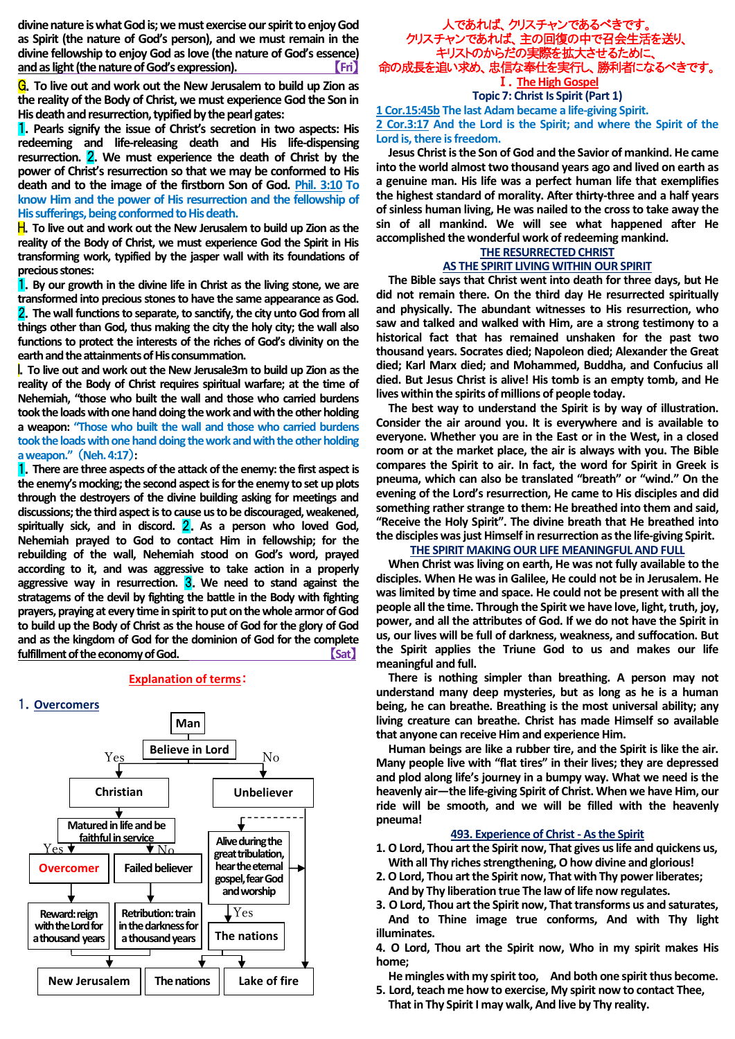**divine nature is what God is; we must exercise our spirit to enjoy God as Spirit (the nature of God's person), and we must remain in the divine fellowship to enjoy God as love (the nature of God's essence) and as light (the nature of God's expression).** 【**Fri**】

G.**To live out and work out the New Jerusalem to build up Zion as the reality of the Body of Christ, we must experience God the Son in His death and resurrection, typified by the pearl gates:**

1.**Pearls signify the issue of Christ's secretion in two aspects: His redeeming and life-releasing death and His life-dispensing resurrection.** 2.**We must experience the death of Christ by the power of Christ's resurrection so that we may be conformed to His death and to the image of the firstborn Son of God. Phil. 3:10 To know Him and the power of His resurrection and the fellowship of His sufferings, being conformed to His death.**

H.**To live out and work out the New Jerusalem to build up Zion as the reality of the Body of Christ, we must experience God the Spirit in His transforming work, typified by the jasper wall with its foundations of precious stones:**

1.**By our growth in the divine life in Christ as the living stone, we are transformed into precious stones to have the same appearance as God.**  2.**The wall functions to separate, to sanctify, the city unto God from all things other than God, thus making the city the holy city; the wall also functions to protect the interests of the riches of God's divinity on the earth and the attainments of His consummation.**

I.**To live out and work out the New Jerusale3m to build up Zion as the reality of the Body of Christ requires spiritual warfare; at the time of Nehemiah, "those who built the wall and those who carried burdens took the loads with one hand doing the work and with the other holding a weapon: "Those who built the wall and those who carried burdens took the loads with one hand doing the work and with the other holding a weapon."** (**Neh. 4:17**)**:**

1.**There are three aspects of the attack of the enemy: the first aspect is the enemy's mocking; the second aspect is for the enemy to set up plots through the destroyers of the divine building asking for meetings and discussions; the third aspect is to cause us to be discouraged, weakened,**  spiritually sick, and in discord. **2**. As a person who loved God, **Nehemiah prayed to God to contact Him in fellowship; for the rebuilding of the wall, Nehemiah stood on God's word, prayed according to it, and was aggressive to take action in a properly aggressive way in resurrection.** 3.**We need to stand against the stratagems of the devil by fighting the battle in the Body with fighting prayers, praying at every time in spirit to put on the whole armor of God to build up the Body of Christ as the house of God for the glory of God and as the kingdom of God for the dominion of God for the complete fulfillment of the economy of God.**  $Sat$ 

### **Explanation of terms**:





# 人であれば、クリスチャンであるべきです。 クリスチャンであれば、主の回復の中で召会生活を送り、 キリストのからだの実際を拡大させるために、 命の成長を追い求め、忠信な奉仕を実行し、勝利者になる Ⅰ.**The High Gospel**

**Topic 7: Christ Is Spirit (Part 1) 1 Cor.15:45b The last Adam became a life-giving Spirit. 2 Cor.3:17 And the Lord is the Spirit; and where the Spirit of the Lord is, there is freedom.**

**Jesus Christ is the Son of God and the Savior of mankind. He came into the world almost two thousand years ago and lived on earth as a genuine man. His life was a perfect human life that exemplifies the highest standard of morality. After thirty-three and a half years of sinless human living, He was nailed to the cross to take away the sin of all mankind. We will see what happened after He accomplished the wonderful work of redeeming mankind.**

#### **THE RESURRECTED CHRIST AS THE SPIRIT LIVING WITHIN OUR SPIRIT**

**The Bible says that Christ went into death for three days, but He did not remain there. On the third day He resurrected spiritually and physically. The abundant witnesses to His resurrection, who saw and talked and walked with Him, are a strong testimony to a historical fact that has remained unshaken for the past two thousand years. Socrates died; Napoleon died; Alexander the Great died; Karl Marx died; and Mohammed, Buddha, and Confucius all died. But Jesus Christ is alive! His tomb is an empty tomb, and He lives within the spirits of millions of people today.**

**The best way to understand the Spirit is by way of illustration. Consider the air around you. It is everywhere and is available to everyone. Whether you are in the East or in the West, in a closed room or at the market place, the air is always with you. The Bible compares the Spirit to air. In fact, the word for Spirit in Greek is pneuma, which can also be translated "breath" or "wind." On the evening of the Lord's resurrection, He came to His disciples and did something rather strange to them: He breathed into them and said, "Receive the Holy Spirit". The divine breath that He breathed into the disciples was just Himself in resurrection as the life-giving Spirit.**

#### **THE SPIRIT MAKING OUR LIFE MEANINGFUL AND FULL**

**When Christ was living on earth, He was not fully available to the disciples. When He was in Galilee, He could not be in Jerusalem. He was limited by time and space. He could not be present with all the people all the time. Through the Spirit we have love, light, truth, joy, power, and all the attributes of God. If we do not have the Spirit in us, our lives will be full of darkness, weakness, and suffocation. But the Spirit applies the Triune God to us and makes our life meaningful and full.**

**There is nothing simpler than breathing. A person may not understand many deep mysteries, but as long as he is a human being, he can breathe. Breathing is the most universal ability; any living creature can breathe. Christ has made Himself so available that anyone can receive Him and experience Him.** 

**Human beings are like a rubber tire, and the Spirit is like the air. Many people live with "flat tires" in their lives; they are depressed and plod along life's journey in a bumpy way. What we need is the heavenly air—the life-giving Spirit of Christ. When we have Him, our ride will be smooth, and we will be filled with the heavenly pneuma!**

### **493. Experience of Christ - As the Spirit**

- **1. O Lord, Thou art the Spirit now, That gives us life and quickens us,** With all Thy riches strengthening, O how divine and glorious!
- **2.O Lord, Thou art the Spirit now, That with Thy power liberates; And by Thy liberation true The law of life now regulates.**
- **3. O Lord, Thou art the Spirit now, That transforms us and saturates, And to Thine image true conforms, And with Thy light illuminates.**

**4. O Lord, Thou art the Spirit now, Who in my spirit makes His home;**

- **He mingles with my spirit too, And both one spirit thus become. 5. Lord, teach me how to exercise, My spirit now to contact Thee,**
	- **That in Thy Spirit I may walk, And live by Thy reality.**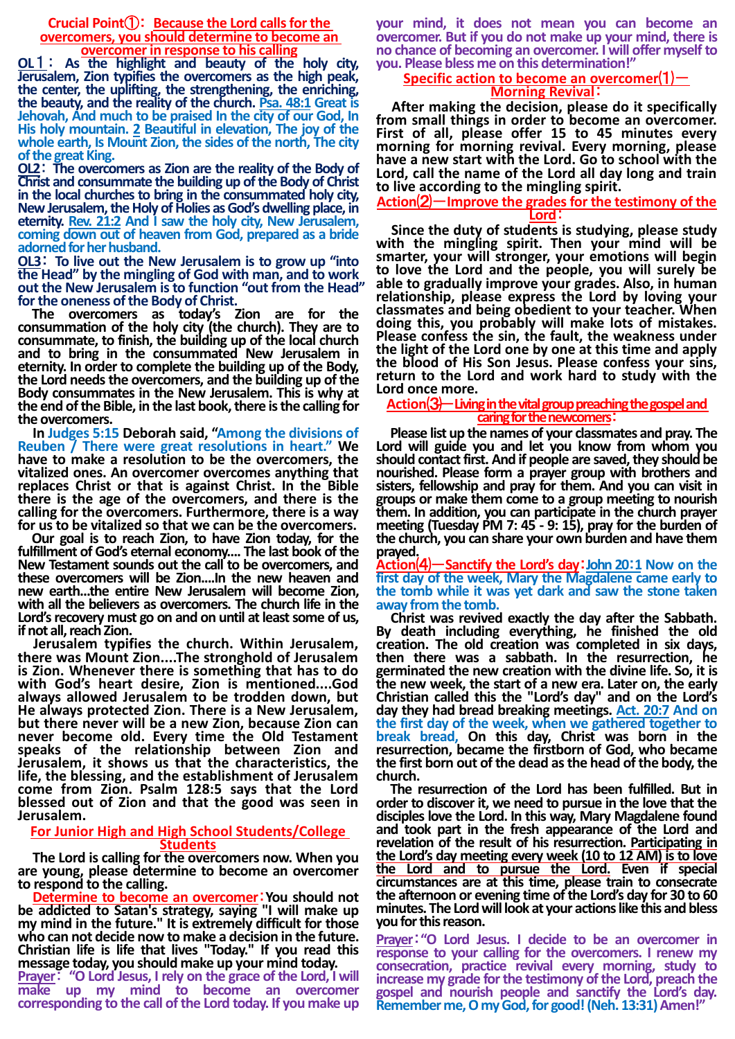**Crucial Point**①: **Because the Lord calls for the overcomers, you should determine to become an overcomer in response to his calling**

**OL**1: **As the highlight and beauty of the holy city, Jerusalem, Zion typifies the overcomers as the high peak, the center, the uplifting, the strengthening, the enriching, the beauty, and the reality of the church. Psa. 48:1 Great is Jehovah, And much to be praised In the city of our God, In His holy mountain. 2 Beautiful in elevation, The joy of the whole earth, Is Mount Zion, the sides of the north, The city of the great King.**

**OL2**: **The overcomers as Zion are the reality of the Body of Christ and consummate the building up of the Body of Christ in the local churches to bring in the consummated holy city, New Jerusalem, the Holy of Holies as God's dwelling place, in eternity. Rev. 21:2 And I saw the holy city, New Jerusalem, coming down out of heaven from God, prepared as a bride adorned for her husband.**

**OL3**: **To live out the New Jerusalem is to grow up "into the Head" by the mingling of God with man, and to work out the New Jerusalem isto function "out from the Head" for the oneness of the Body of Christ.**

**The overcomers as today's Zion are for the consummation of the holy city (the church). They are to consummate, to finish, the building up of the local church and to bring in the consummated New Jerusalem in eternity. In order to complete the building up of the Body, the Lord needs the overcomers, and the building up of the Body consummates in the New Jerusalem. This is why at the end of the Bible, in the last book, there is the calling for the overcomers.**

**In Judges 5:15 Deborah said, "Among the divisions of Reuben / There were great resolutions in heart." We have to make a resolution to be the overcomers, the vitalized ones. An overcomer overcomes anything that replaces Christ or that is against Christ. In the Bible there is the age of the overcomers, and there is the calling for the overcomers. Furthermore, there is a way for us to be vitalized so that we can be the overcomers.**

**Our goal is to reach Zion, to have Zion today, for the fulfillment of God's eternal economy.... The last book of the New Testament sounds out the call to be overcomers, and these overcomers will be Zion....In the new heaven and new earth...the entire New Jerusalem will become Zion, with all the believers as overcomers. The church life in the Lord's recovery must go on and on until at least some of us, if not all, reach Zion.**

**Jerusalem typifies the church. Within Jerusalem, there was Mount Zion....The stronghold of Jerusalem is Zion. Whenever there is something that has to do with God's heart desire, Zion is mentioned....God always allowed Jerusalem to be trodden down, but He always protected Zion. There is a New Jerusalem, but there never will be a new Zion, because Zion can never become old. Every time the Old Testament speaks of the relationship between Zion and Jerusalem, it shows us that the characteristics, the life, the blessing, and the establishment of Jerusalem come from Zion. Psalm 128:5 says that the Lord blessed out of Zion and that the good was seen in Jerusalem.**

#### **For Junior High and High School Students/College Students**

**The Lord is calling for the overcomers now. When you are young, please determine to become an overcomer to respond to the calling.**

**Determine to become an overcomer**:**You should not be addicted to Satan's strategy, saying "I will make up my mind in the future." It is extremely difficult for those who can not decide now to make a decision in the future. Christian life is life that lives "Today." If you read this message today, you should make up your mind today.** 

**Prayer**: **"O Lord Jesus, I rely on the grace of the Lord, I will make up my mind to become an overcomer corresponding to the call of the Lord today. If you make up** 

**your mind, it does not mean you can become an overcomer. But if you do not make up your mind, there is no chance of becoming an overcomer. I will offer myself to you. Please bless me on this determination!"**

# **Specific action to become an overcomer**⑴- **Morning Revival**:

**After making the decision, please do it specifically from small things in order to become an overcomer. First of all, please offer 15 to 45 minutes every morning for morning revival. Every morning, please have a new start with the Lord. Go to school with the Lord, call the name of the Lord all day long and train to live according to the mingling spirit.**

## **Action**⑵-**Improve the grades for the testimony of the Lord**:

**Since the duty of students is studying, please study with the mingling spirit. Then your mind will be smarter, your will stronger, your emotions will begin to love the Lord and the people, you will surely be able to gradually improve your grades. Also, in human relationship, please express the Lord by loving your classmates and being obedient to your teacher. When doing this, you probably will make lots of mistakes. Please confess the sin, the fault, the weakness under the light of the Lord one by one at this time and apply the blood of His Son Jesus. Please confess your sins, return to the Lord and work hard to study with the Lord once more.**

### **Action**⑶**‐**-**Living in the vital group preachingthe gospel and caring for the newcomers**:

**Please list up the names of your classmates and pray. The Lord will guide you and let you know from whom you**  should contact first. And if people are saved, they should be **nourished. Please form a prayer group with brothers and sisters, fellowship and pray for them. And you can visit in groups or make them come to a group meeting to nourish them. In addition, you can participate in the church prayer meeting (Tuesday PM 7: 45 - 9: 15), pray for the burden of the church, you can share your own burden and have them**

**prayed. Action**⑷-**Sanctify the Lord's day**:**John 20**:**1 Now on the first day of the week, Mary the Magdalene came early to the tomb while it was yet dark and saw the stone taken away from the tomb.**

**Christ was revived exactly the day after the Sabbath. By death including everything, he finished the old creation. The old creation was completed in six days, then there was a sabbath. In the resurrection, he germinated the new creation with the divine life. So, it is the new week, the start of a new era. Later on, the early Christian called this the "Lord's day" and on the Lord's day they had bread breaking meetings. Act. 20:7 And on the first day of the week, when we gathered together to break bread, On this day, Christ was born in the resurrection, became the firstborn of God, who became the first born out of the dead as the head of the body, the church.**

**The resurrection of the Lord has been fulfilled. But in order to discover it, we need to pursue in the love that the disciples love the Lord. In this way, Mary Magdalene found and took part in the fresh appearance of the Lord and revelation of the result of his resurrection. Participating in the Lord's day meeting every week (10 to 12 AM) is to love the Lord and to pursue the Lord. Even if special circumstances are at this time, please train to consecrate the afternoon or evening time of the Lord's day for 30 to 60 minutes. The Lord will look at your actionslike this and bless you for this reason.**

**Prayer**:**"O Lord Jesus. I decide to be an overcomer in response to your calling for the overcomers. I renew my consecration, practice revival every morning, study to increase my grade for the testimony of the Lord, preach the gospel and nourish people and sanctify the Lord's day. Remember me, O my God, for good! (Neh. 13:31) Amen!"**